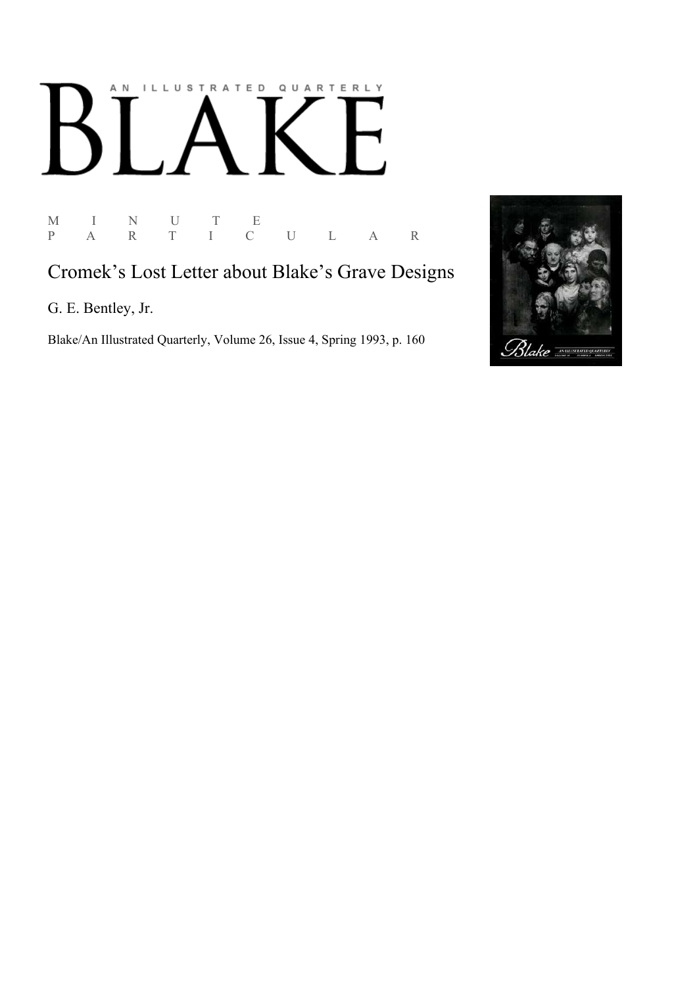# AN ILLUSTRATED QUARTERLY  $\lceil$  $\boldsymbol{\mathsf{B}}$

 $\begin{array}{ccccccccc} \textrm{M} & & I & & \textrm{N} & & \textrm{U} & & \textrm{T} & & \textrm{E} \\ \textrm{P} & & \textrm{A} & & \textrm{R} & & \textrm{T} & & \textrm{I} & & \textrm{C} \end{array}$ P A R T I C U L A R

# Cromek's Lost Letter about Blake's Grave Designs

G. E. Bentley, Jr.

Blake/An Illustrated Quarterly, Volume 26, Issue 4, Spring 1993, p. 160